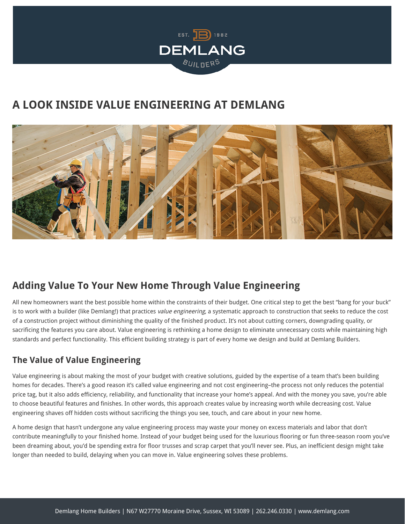

# **A LOOK INSIDE VALUE ENGINEERING AT DEMLANG**



## **Adding Value To Your New Home Through Value Engineering**

All new homeowners want the best possible home within the constraints of their budget. One critical step to get the best "bang for your buck" is to work with a builder (like Demlang!) that practices value engineering, a systematic approach to construction that seeks to reduce the cost of a construction project without diminishing the quality of the finished product. It's not about cutting corners, downgrading quality, or sacrificing the features you care about. Value engineering is rethinking a home design to eliminate unnecessary costs while maintaining high standards and perfect functionality. This efficient building strategy is part of every home we design and build at Demlang Builders.

#### **The Value of Value Engineering**

Value engineering is about making the most of your budget with creative solutions, guided by the expertise of a team that's been building homes for decades. There's a good reason it's called value engineering and not cost engineering–the process not only reduces the potential price tag, but it also adds efficiency, reliability, and functionality that increase your home's appeal. And with the money you save, you're able to choose beautiful features and finishes. In other words, this approach creates value by increasing worth while decreasing cost. Value engineering shaves off hidden costs without sacrificing the things you see, touch, and care about in your new home.

A home design that hasn't undergone any value engineering process may waste your money on excess materials and labor that don't contribute meaningfully to your finished home. Instead of your budget being used for the luxurious flooring or fun three-season room you've been dreaming about, you'd be spending extra for floor trusses and scrap carpet that you'll never see. Plus, an inefficient design might take longer than needed to build, delaying when you can move in. Value engineering solves these problems.